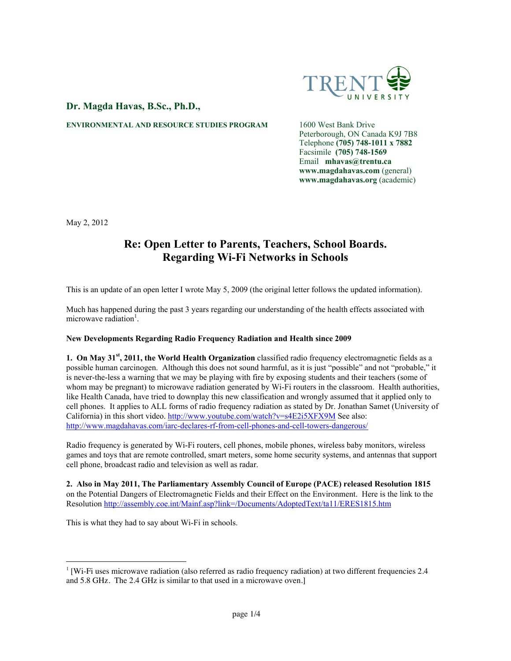

## **Dr. Magda Havas, B.Sc., Ph.D.,**

**ENVIRONMENTAL AND RESOURCE STUDIES PROGRAM** 1600 West Bank Drive

Peterborough, ON Canada K9J 7B8 Telephone **(705) 748-1011 x 7882** Facsimile **(705) 748-1569** Email **mhavas@trentu.ca www.magdahavas.com** (general) **www.magdahavas.org** (academic)

May 2, 2012

# **Re: Open Letter to Parents, Teachers, School Boards. Regarding Wi-Fi Networks in Schools**

This is an update of an open letter I wrote May 5, 2009 (the original letter follows the updated information).

Much has happened during the past 3 years regarding our understanding of the health effects associated with microwave radiation<sup>1</sup>.

### **New Developments Regarding Radio Frequency Radiation and Health since 2009**

**1. On May 31st, 2011, the World Health Organization** classified radio frequency electromagnetic fields as a possible human carcinogen. Although this does not sound harmful, as it is just "possible" and not "probable," it is never-the-less a warning that we may be playing with fire by exposing students and their teachers (some of whom may be pregnant) to microwave radiation generated by Wi-Fi routers in the classroom. Health authorities, like Health Canada, have tried to downplay this new classification and wrongly assumed that it applied only to cell phones. It applies to ALL forms of radio frequency radiation as stated by Dr. Jonathan Samet (University of California) in this short video. http://www.youtube.com/watch?v=s4E2i5XFX9M See also: http://www.magdahavas.com/iarc-declares-rf-from-cell-phones-and-cell-towers-dangerous/

Radio frequency is generated by Wi-Fi routers, cell phones, mobile phones, wireless baby monitors, wireless games and toys that are remote controlled, smart meters, some home security systems, and antennas that support cell phone, broadcast radio and television as well as radar.

**2. Also in May 2011, The Parliamentary Assembly Council of Europe (PACE) released Resolution 1815** on the Potential Dangers of Electromagnetic Fields and their Effect on the Environment. Here is the link to the Resolution http://assembly.coe.int/Mainf.asp?link=/Documents/AdoptedText/ta11/ERES1815.htm

This is what they had to say about Wi-Fi in schools.

 $\frac{1}{1}$  [Wi-Fi uses microwave radiation (also referred as radio frequency radiation) at two different frequencies 2.4 and 5.8 GHz. The 2.4 GHz is similar to that used in a microwave oven.]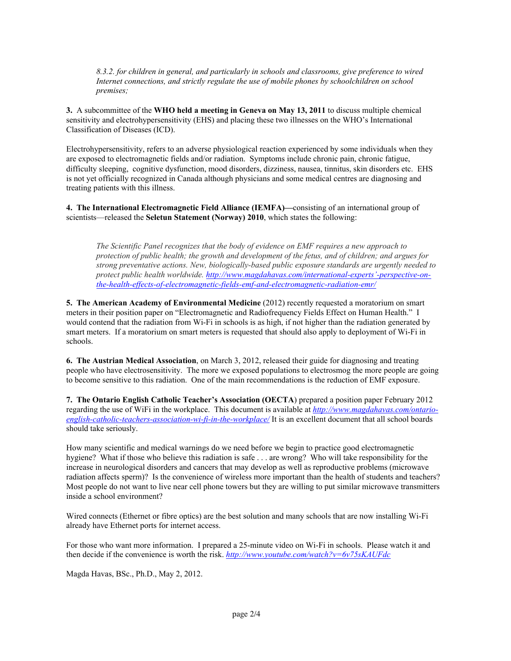*8.3.2. for children in general, and particularly in schools and classrooms, give preference to wired Internet connections, and strictly regulate the use of mobile phones by schoolchildren on school premises;*

**3.** A subcommittee of the **WHO held a meeting in Geneva on May 13, 2011** to discuss multiple chemical sensitivity and electrohypersensitivity (EHS) and placing these two illnesses on the WHO's International Classification of Diseases (ICD).

Electrohypersensitivity, refers to an adverse physiological reaction experienced by some individuals when they are exposed to electromagnetic fields and/or radiation. Symptoms include chronic pain, chronic fatigue, difficulty sleeping, cognitive dysfunction, mood disorders, dizziness, nausea, tinnitus, skin disorders etc. EHS is not yet officially recognized in Canada although physicians and some medical centres are diagnosing and treating patients with this illness.

**4. The International Electromagnetic Field Alliance (IEMFA)—**consisting of an international group of scientists—released the **Seletun Statement (Norway) 2010**, which states the following:

*The Scientific Panel recognizes that the body of evidence on EMF requires a new approach to protection of public health; the growth and development of the fetus, and of children; and argues for strong preventative actions. New, biologically-based public exposure standards are urgently needed to protect public health worldwide. http://www.magdahavas.com/international-experts'-perspective-onthe-health-effects-of-electromagnetic-fields-emf-and-electromagnetic-radiation-emr/*

**5. The American Academy of Environmental Medicine** (2012) recently requested a moratorium on smart meters in their position paper on "Electromagnetic and Radiofrequency Fields Effect on Human Health." I would contend that the radiation from Wi-Fi in schools is as high, if not higher than the radiation generated by smart meters. If a moratorium on smart meters is requested that should also apply to deployment of Wi-Fi in schools.

**6. The Austrian Medical Association**, on March 3, 2012, released their guide for diagnosing and treating people who have electrosensitivity. The more we exposed populations to electrosmog the more people are going to become sensitive to this radiation. One of the main recommendations is the reduction of EMF exposure.

**7. The Ontario English Catholic Teacher's Association (OECTA**) prepared a position paper February 2012 regarding the use of WiFi in the workplace. This document is available at *http://www.magdahavas.com/ontarioenglish-catholic-teachers-association-wi-fi-in-the-workplace/* It is an excellent document that all school boards should take seriously.

How many scientific and medical warnings do we need before we begin to practice good electromagnetic hygiene? What if those who believe this radiation is safe . . . are wrong? Who will take responsibility for the increase in neurological disorders and cancers that may develop as well as reproductive problems (microwave radiation affects sperm)? Is the convenience of wireless more important than the health of students and teachers? Most people do not want to live near cell phone towers but they are willing to put similar microwave transmitters inside a school environment?

Wired connects (Ethernet or fibre optics) are the best solution and many schools that are now installing Wi-Fi already have Ethernet ports for internet access.

For those who want more information. I prepared a 25-minute video on Wi-Fi in schools. Please watch it and then decide if the convenience is worth the risk. *http://www.youtube.com/watch?v=6v75sKAUFdc*

Magda Havas, BSc., Ph.D., May 2, 2012.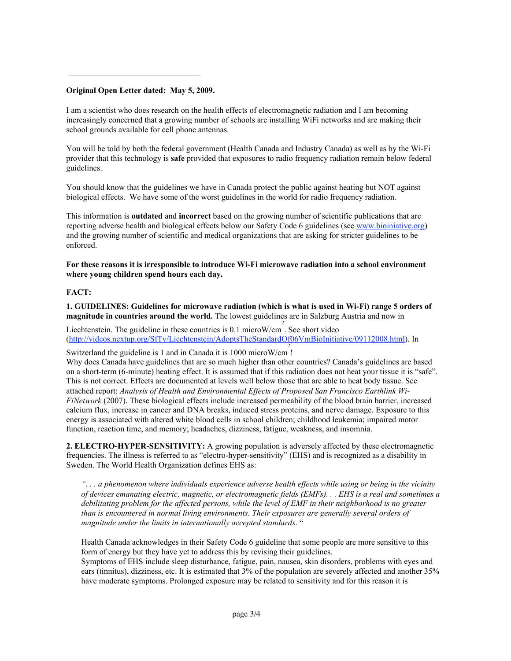#### **Original Open Letter dated: May 5, 2009.**

 $\frac{1}{2}$  ,  $\frac{1}{2}$  ,  $\frac{1}{2}$  ,  $\frac{1}{2}$  ,  $\frac{1}{2}$  ,  $\frac{1}{2}$  ,  $\frac{1}{2}$  ,  $\frac{1}{2}$  ,  $\frac{1}{2}$  ,  $\frac{1}{2}$  ,  $\frac{1}{2}$  ,  $\frac{1}{2}$  ,  $\frac{1}{2}$  ,  $\frac{1}{2}$  ,  $\frac{1}{2}$  ,  $\frac{1}{2}$  ,  $\frac{1}{2}$  ,  $\frac{1}{2}$  ,  $\frac{1$ 

I am a scientist who does research on the health effects of electromagnetic radiation and I am becoming increasingly concerned that a growing number of schools are installing WiFi networks and are making their school grounds available for cell phone antennas.

You will be told by both the federal government (Health Canada and Industry Canada) as well as by the Wi-Fi provider that this technology is **safe** provided that exposures to radio frequency radiation remain below federal guidelines.

You should know that the guidelines we have in Canada protect the public against heating but NOT against biological effects. We have some of the worst guidelines in the world for radio frequency radiation.

This information is **outdated** and **incorrect** based on the growing number of scientific publications that are reporting adverse health and biological effects below our Safety Code 6 guidelines (see www.bioiniative.org) and the growing number of scientific and medical organizations that are asking for stricter guidelines to be enforced.

**For these reasons it is irresponsible to introduce Wi-Fi microwave radiation into a school environment where young children spend hours each day.**

#### **FACT:**

**1. GUIDELINES: Guidelines for microwave radiation (which is what is used in Wi-Fi) range 5 orders of magnitude in countries around the world.** The lowest guidelines are in Salzburg Austria and now in

Liechtenstein. The guideline in these countries is 0.1 microW/cm<sup>2</sup>. See short video (http://videos.nextup.org/SfTv/Liechtenstein/AdoptsTheStandardOf06VmBioInitiative/09112008.html). In

Switzerland the guideline is 1 and in Canada it is 1000 microW/cm<sup>2</sup> !

Why does Canada have guidelines that are so much higher than other countries? Canada's guidelines are based on a short-term (6-minute) heating effect. It is assumed that if this radiation does not heat your tissue it is "safe". This is not correct. Effects are documented at levels well below those that are able to heat body tissue. See attached report: *Analysis of Health and Environmental Effects of Proposed San Francisco Earthlink Wi-FiNetwork* (2007). These biological effects include increased permeability of the blood brain barrier, increased calcium flux, increase in cancer and DNA breaks, induced stress proteins, and nerve damage. Exposure to this energy is associated with altered white blood cells in school children; childhood leukemia; impaired motor function, reaction time, and memory; headaches, dizziness, fatigue, weakness, and insomnia.

**2. ELECTRO-HYPER-SENSITIVITY:** A growing population is adversely affected by these electromagnetic frequencies. The illness is referred to as "electro-hyper-sensitivity" (EHS) and is recognized as a disability in Sweden. The World Health Organization defines EHS as:

*". . . a phenomenon where individuals experience adverse health effects while using or being in the vicinity of devices emanating electric, magnetic, or electromagnetic fields (EMFs). . . EHS is a real and sometimes a debilitating problem for the affected persons, while the level of EMF in their neighborhood is no greater than is encountered in normal living environments. Their exposures are generally several orders of magnitude under the limits in internationally accepted standards*. "

Health Canada acknowledges in their Safety Code 6 guideline that some people are more sensitive to this form of energy but they have yet to address this by revising their guidelines.

Symptoms of EHS include sleep disturbance, fatigue, pain, nausea, skin disorders, problems with eyes and ears (tinnitus), dizziness, etc. It is estimated that 3% of the population are severely affected and another 35% have moderate symptoms. Prolonged exposure may be related to sensitivity and for this reason it is